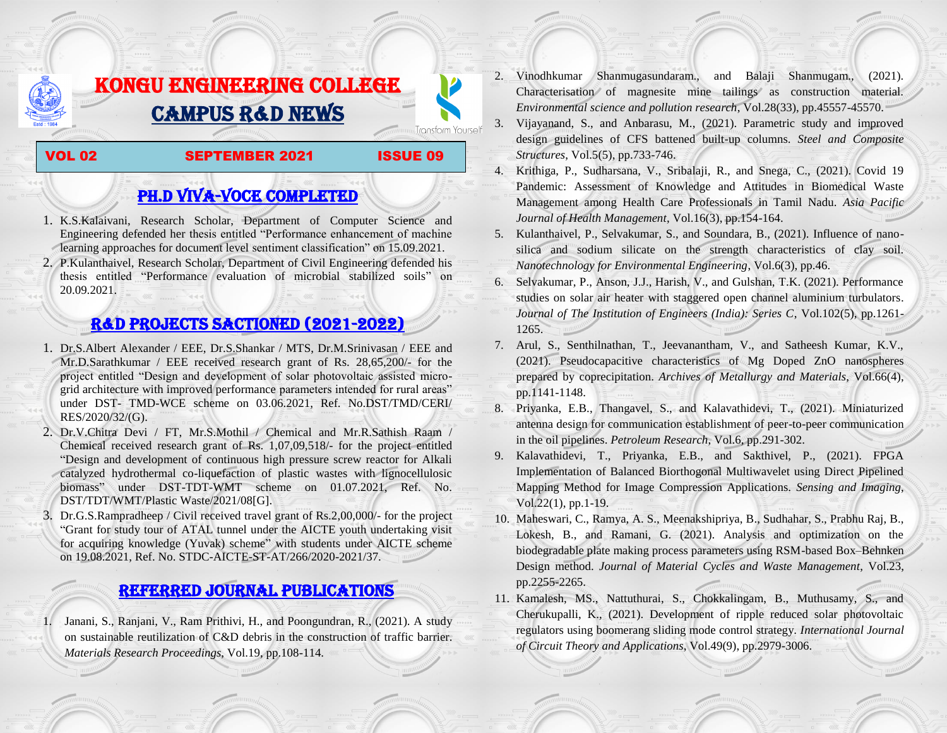# KONGU ENGINEERING COLLEGE CAMPUS R&D NEWS

## VOL 02 SEPTEMBER 2021 ISSUE 09

**Transform Yourself** 

## PH.D VIVA-VOCE COMPLETED

- 1. K.S.Kalaivani, Research Scholar, Department of Computer Science and Engineering defended her thesis entitled "Performance enhancement of machine learning approaches for document level sentiment classification" on 15.09.2021.
- 2. P.Kulanthaivel, Research Scholar, Department of Civil Engineering defended his thesis entitled "Performance evaluation of microbial stabilized soils" on 20.09.2021.

## R&D PROJECTS SACTIONED (2021-2022)

- 1. Dr.S.Albert Alexander / EEE, Dr.S.Shankar / MTS, Dr.M.Srinivasan / EEE and Mr.D.Sarathkumar / EEE received research grant of Rs. 28,65,200/- for the project entitled "Design and development of solar photovoltaic assisted microgrid architecture with improved performance parameters intended for rural areas" under DST- TMD-WCE scheme on 03.06.2021, Ref. No.DST/TMD/CERI/ RES/2020/32/(G).
- 2. Dr.V.Chitra Devi / FT, Mr.S.Mothil / Chemical and Mr.R.Sathish Raam / Chemical received research grant of Rs. 1,07,09,518/- for the project entitled "Design and development of continuous high pressure screw reactor for Alkali catalyzed hydrothermal co-liquefaction of plastic wastes with lignocellulosic biomass" under DST-TDT-WMT scheme on 01.07.2021, Ref. No. DST/TDT/WMT/Plastic Waste/2021/08[G].
- 3. Dr.G.S.Rampradheep / Civil received travel grant of Rs.2,00,000/- for the project "Grant for study tour of ATAL tunnel under the AICTE youth undertaking visit for acquiring knowledge (Yuvak) scheme" with students under AICTE scheme on 19.08.2021, Ref. No. STDC-AICTE-ST-AT/266/2020-2021/37.

## Referred JOURNAL publications

1. Janani, S., Ranjani, V., Ram Prithivi, H., and Poongundran, R., (2021). A study on sustainable reutilization of C&D debris in the construction of traffic barrier. *Materials Research Proceedings*, Vol.19, pp.108-114.

- 2. Vinodhkumar Shanmugasundaram., and Balaji Shanmugam., (2021). Characterisation of magnesite mine tailings as construction material. *Environmental science and pollution research*, Vol.28(33), pp.45557-45570.
- 3. Vijayanand, S., and Anbarasu, M., (2021). Parametric study and improved design guidelines of CFS battened built-up columns. *Steel and Composite Structures*, Vol.5(5), pp.733-746.
- 4. Krithiga, P., Sudharsana, V., Sribalaji, R., and Snega, C., (2021). Covid 19 Pandemic: Assessment of Knowledge and Attitudes in Biomedical Waste Management among Health Care Professionals in Tamil Nadu. *Asia Pacific Journal of Health Management*, Vol.16(3), pp.154-164.
- 5. Kulanthaivel, P., Selvakumar, S., and Soundara, B., (2021). Influence of nanosilica and sodium silicate on the strength characteristics of clay soil. *Nanotechnology for Environmental Engineering*, Vol.6(3), pp.46.
- 6. Selvakumar, P., Anson, J.J., Harish, V., and Gulshan, T.K. (2021). Performance studies on solar air heater with staggered open channel aluminium turbulators. *Journal of The Institution of Engineers (India): Series C*, Vol.102(5), pp.1261- 1265.
- 7. Arul, S., Senthilnathan, T., Jeevanantham, V., and Satheesh Kumar, K.V., (2021). Pseudocapacitive characteristics of Mg Doped ZnO nanospheres prepared by coprecipitation. *Archives of Metallurgy and Materials*, Vol.66(4), pp.1141-1148.
- 8. Priyanka, E.B., Thangavel, S., and Kalavathidevi, T., (2021). Miniaturized antenna design for communication establishment of peer-to-peer communication in the oil pipelines. *Petroleum Research*, Vol.6, pp.291-302.
- 9. Kalavathidevi, T., Priyanka, E.B., and Sakthivel, P., (2021). FPGA Implementation of Balanced Biorthogonal Multiwavelet using Direct Pipelined Mapping Method for Image Compression Applications. *Sensing and Imaging*, Vol.22(1), pp.1-19.
- 10. Maheswari, C., Ramya, A. S., Meenakshipriya, B., Sudhahar, S., Prabhu Raj, B., Lokesh, B., and Ramani, G. (2021). Analysis and optimization on the biodegradable plate making process parameters using RSM-based Box–Behnken Design method. *Journal of Material Cycles and Waste Management*, Vol.23, pp.2255-2265.
- 11. Kamalesh, MS., Nattuthurai, S., Chokkalingam, B., Muthusamy, S., and Cherukupalli, K., (2021). Development of ripple reduced solar photovoltaic regulators using boomerang sliding mode control strategy. *International Journal of Circuit Theory and Applications*, Vol.49(9), pp.2979-3006.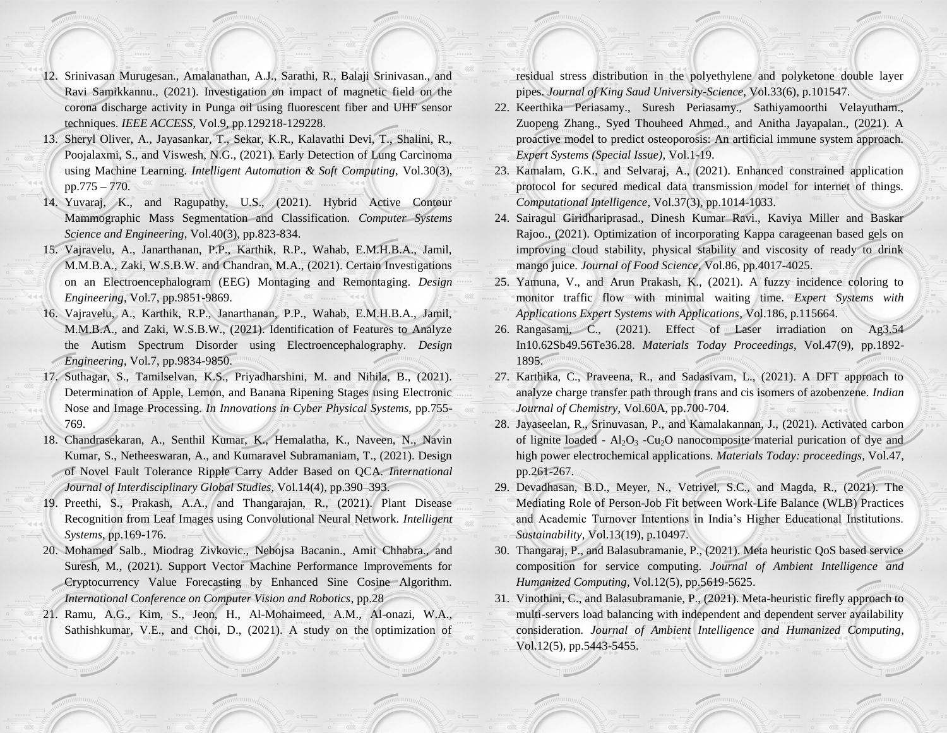- 12. Srinivasan Murugesan., Amalanathan, A.J., Sarathi, R., Balaji Srinivasan., and Ravi Samikkannu., (2021). Investigation on impact of magnetic field on the corona discharge activity in Punga oil using fluorescent fiber and UHF sensor techniques. *IEEE ACCESS*, Vol.9, pp.129218-129228.
- 13. Sheryl Oliver, A., Jayasankar, T., Sekar, K.R., Kalavathi Devi, T., Shalini, R., Poojalaxmi, S., and Viswesh, N.G., (2021). Early Detection of Lung Carcinoma using Machine Learning. *Intelligent Automation & Soft Computing*, Vol.30(3), pp.775 – 770.
- 14. Yuvaraj, K., and Ragupathy, U.S., (2021). Hybrid Active Contour Mammographic Mass Segmentation and Classification. *Computer Systems Science and Engineering*, Vol.40(3), pp.823-834.
- 15. Vajravelu, A., Janarthanan, P.P., Karthik, R.P., Wahab, E.M.H.B.A., Jamil, M.M.B.A., Zaki, W.S.B.W. and Chandran, M.A., (2021). Certain Investigations on an Electroencephalogram (EEG) Montaging and Remontaging. *Design Engineering*, Vol.7, pp.9851-9869.
- 16. Vajravelu, A., Karthik, R.P., Janarthanan, P.P., Wahab, E.M.H.B.A., Jamil, M.M.B.A., and Zaki, W.S.B.W., (2021). Identification of Features to Analyze the Autism Spectrum Disorder using Electroencephalography. *Design Engineering*, Vol.7, pp.9834-9850.
- 17. Suthagar, S., Tamilselvan, K.S., Priyadharshini, M. and Nihila, B., (2021). Determination of Apple, Lemon, and Banana Ripening Stages using Electronic Nose and Image Processing. *In Innovations in Cyber Physical Systems*, pp.755- 769.
- 18. Chandrasekaran, A., Senthil Kumar, K., Hemalatha, K., Naveen, N., Navin Kumar, S., Netheeswaran, A., and Kumaravel Subramaniam, T., (2021). Design of Novel Fault Tolerance Ripple Carry Adder Based on QCA. *International Journal of Interdisciplinary Global Studies*, Vol.14(4), pp.390–393.
- 19. Preethi, S., Prakash, A.A., and Thangarajan, R., (2021). Plant Disease Recognition from Leaf Images using Convolutional Neural Network. *Intelligent Systems*, pp.169-176.
- 20. Mohamed Salb., Miodrag Zivkovic., Nebojsa Bacanin., Amit Chhabra., and Suresh, M., (2021). Support Vector Machine Performance Improvements for Cryptocurrency Value Forecasting by Enhanced Sine Cosine Algorithm. *International Conference on Computer Vision and Robotics*, pp.28
- 21. Ramu, A.G., Kim, S., Jeon, H., Al-Mohaimeed, A.M., Al-onazi, W.A., Sathishkumar, V.E., and Choi, D., (2021). A study on the optimization of

residual stress distribution in the polyethylene and polyketone double layer pipes. *Journal of King Saud University-Science*, Vol.33(6), p.101547.

- 22. Keerthika Periasamy., Suresh Periasamy., Sathiyamoorthi Velayutham., Zuopeng Zhang., Syed Thouheed Ahmed., and Anitha Jayapalan., (2021). A proactive model to predict osteoporosis: An artificial immune system approach. *Expert Systems (Special Issue)*, Vol.1-19.
- 23. Kamalam, G.K., and Selvaraj, A., (2021). Enhanced constrained application protocol for secured medical data transmission model for internet of things. *Computational Intelligence*, Vol.37(3), pp.1014-1033.
- 24. Sairagul Giridhariprasad., Dinesh Kumar Ravi., Kaviya Miller and Baskar Rajoo., (2021). Optimization of incorporating Kappa carageenan based gels on improving cloud stability, physical stability and viscosity of ready to drink mango juice. *Journal of Food Science*, Vol.86, pp.4017-4025.
- 25. Yamuna, V., and Arun Prakash, K., (2021). A fuzzy incidence coloring to monitor traffic flow with minimal waiting time. *Expert Systems with Applications Expert Systems with Applications*, Vol.186, p.115664.
- 26. Rangasami, C., (2021). Effect of Laser irradiation on Ag3.54 In10.62Sb49.56Te36.28. *Materials Today Proceedings*, Vol.47(9), pp.1892- 1895.
- 27. Karthika, C., Praveena, R., and Sadasivam, L., (2021). A DFT approach to analyze charge transfer path through trans and cis isomers of azobenzene. *Indian Journal of Chemistry*, Vol.60A, pp.700-704.
- 28. Jayaseelan, R., Srinuvasan, P., and Kamalakannan, J., (2021). Activated carbon of lignite loaded -  $Al_2O_3$  -Cu<sub>2</sub>O nanocomposite material purication of dye and high power electrochemical applications. *Materials Today: proceedings*, Vol.47, pp.261-267.
- 29. Devadhasan, B.D., Meyer, N., Vetrivel, S.C., and Magda, R., (2021). The Mediating Role of Person-Job Fit between Work-Life Balance (WLB) Practices and Academic Turnover Intentions in India's Higher Educational Institutions. *Sustainability*, Vol.13(19), p.10497.
- 30. Thangaraj, P., and Balasubramanie, P., (2021). Meta heuristic QoS based service composition for service computing. *Journal of Ambient Intelligence and Humanized Computing*, Vol.12(5), pp.5619-5625.
- 31. Vinothini, C., and Balasubramanie, P., (2021). Meta-heuristic firefly approach to multi-servers load balancing with independent and dependent server availability consideration. *Journal of Ambient Intelligence and Humanized Computing*, Vol.12(5), pp.5443-5455.